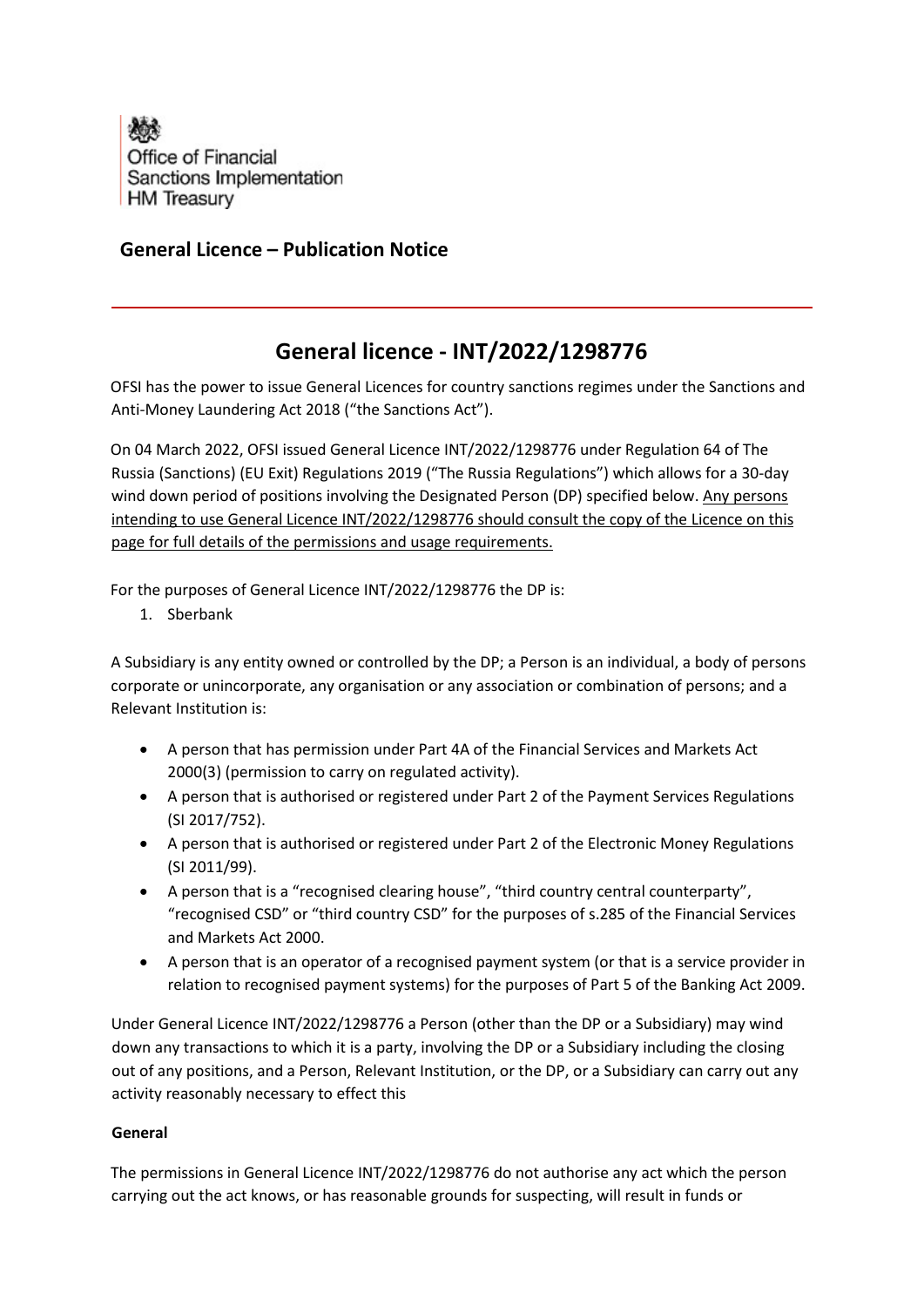

## **General Licence – Publication Notice**

## **General licence - INT/2022/1298776**

OFSI has the power to issue General Licences for country sanctions regimes under the Sanctions and Anti-Money Laundering Act 2018 ("the Sanctions Act").

On 04 March 2022, OFSI issued General Licence INT/2022/1298776 under Regulation 64 of The Russia (Sanctions) (EU Exit) Regulations 2019 ("The Russia Regulations") which allows for a 30-day wind down period of positions involving the Designated Person (DP) specified below. Any persons intending to use General Licence INT/2022/1298776 should consult the copy of the Licence on this page for full details of the permissions and usage requirements.

For the purposes of General Licence INT/2022/1298776 the DP is:

1. Sberbank

A Subsidiary is any entity owned or controlled by the DP; a Person is an individual, a body of persons corporate or unincorporate, any organisation or any association or combination of persons; and a Relevant Institution is:

- A person that has permission under Part 4A of the Financial Services and Markets Act 2000(3) (permission to carry on regulated activity).
- A person that is authorised or registered under Part 2 of the Payment Services Regulations (SI 2017/752).
- A person that is authorised or registered under Part 2 of the Electronic Money Regulations (SI 2011/99).
- A person that is a "recognised clearing house", "third country central counterparty", "recognised CSD" or "third country CSD" for the purposes of s.285 of the Financial Services and Markets Act 2000.
- A person that is an operator of a recognised payment system (or that is a service provider in relation to recognised payment systems) for the purposes of Part 5 of the Banking Act 2009.

Under General Licence INT/2022/1298776 a Person (other than the DP or a Subsidiary) may wind down any transactions to which it is a party, involving the DP or a Subsidiary including the closing out of any positions, and a Person, Relevant Institution, or the DP, or a Subsidiary can carry out any activity reasonably necessary to effect this

## **General**

The permissions in General Licence INT/2022/1298776 do not authorise any act which the person carrying out the act knows, or has reasonable grounds for suspecting, will result in funds or